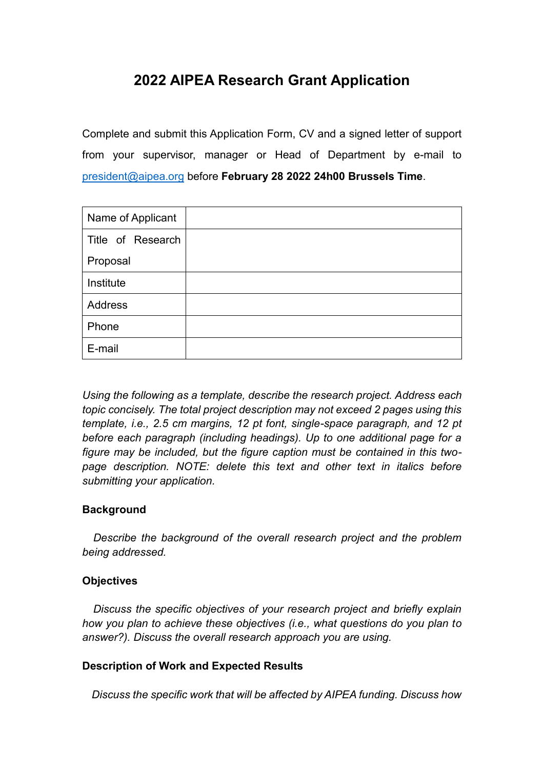# **2022 AIPEA Research Grant Application**

Complete and submit this Application Form, CV and a signed letter of support from your supervisor, manager or Head of Department by e-mail to [president@aipea.org](mailto:president@aipea.org) before **February 28 2022 24h00 Brussels Time**.

| Name of Applicant |  |
|-------------------|--|
| Title of Research |  |
| Proposal          |  |
| Institute         |  |
| <b>Address</b>    |  |
| Phone             |  |
| E-mail            |  |

*Using the following as a template, describe the research project. Address each topic concisely. The total project description may not exceed 2 pages using this template, i.e., 2.5 cm margins, 12 pt font, single-space paragraph, and 12 pt before each paragraph (including headings). Up to one additional page for a figure may be included, but the figure caption must be contained in this twopage description. NOTE: delete this text and other text in italics before submitting your application.*

### **Background**

*Describe the background of the overall research project and the problem being addressed.*

### **Objectives**

*Discuss the specific objectives of your research project and briefly explain how you plan to achieve these objectives (i.e., what questions do you plan to answer?). Discuss the overall research approach you are using.*

### **Description of Work and Expected Results**

*Discuss the specific work that will be affected by AIPEA funding. Discuss how*